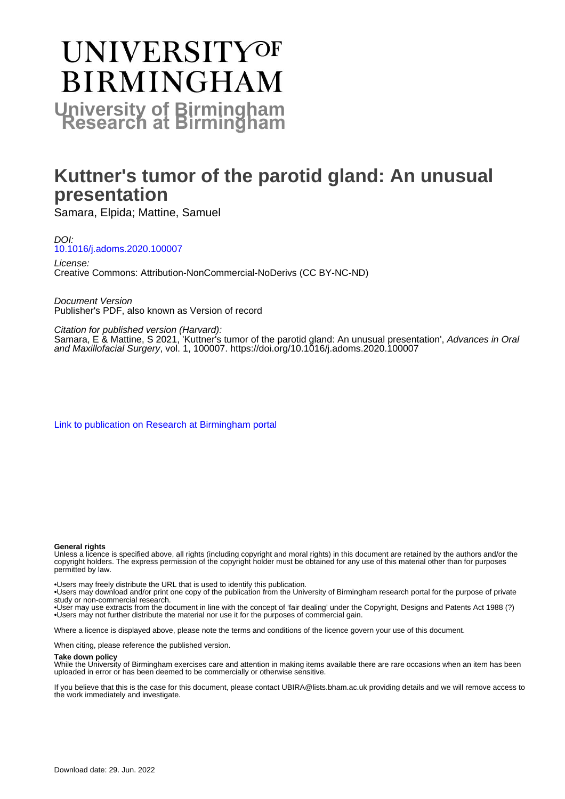# **UNIVERSITYOF BIRMINGHAM University of Birmingham**

# **Kuttner's tumor of the parotid gland: An unusual presentation**

Samara, Elpida; Mattine, Samuel

DOI: [10.1016/j.adoms.2020.100007](https://doi.org/10.1016/j.adoms.2020.100007)

License: Creative Commons: Attribution-NonCommercial-NoDerivs (CC BY-NC-ND)

Document Version Publisher's PDF, also known as Version of record

Citation for published version (Harvard):

Samara, E & Mattine, S 2021, 'Kuttner's tumor of the parotid gland: An unusual presentation', Advances in Oral and Maxillofacial Surgery, vol. 1, 100007. <https://doi.org/10.1016/j.adoms.2020.100007>

[Link to publication on Research at Birmingham portal](https://birmingham.elsevierpure.com/en/publications/91af5f56-ed73-4869-a126-72c9a77053a1)

#### **General rights**

Unless a licence is specified above, all rights (including copyright and moral rights) in this document are retained by the authors and/or the copyright holders. The express permission of the copyright holder must be obtained for any use of this material other than for purposes permitted by law.

• Users may freely distribute the URL that is used to identify this publication.

• Users may download and/or print one copy of the publication from the University of Birmingham research portal for the purpose of private study or non-commercial research.

• User may use extracts from the document in line with the concept of 'fair dealing' under the Copyright, Designs and Patents Act 1988 (?) • Users may not further distribute the material nor use it for the purposes of commercial gain.

Where a licence is displayed above, please note the terms and conditions of the licence govern your use of this document.

When citing, please reference the published version.

#### **Take down policy**

While the University of Birmingham exercises care and attention in making items available there are rare occasions when an item has been uploaded in error or has been deemed to be commercially or otherwise sensitive.

If you believe that this is the case for this document, please contact UBIRA@lists.bham.ac.uk providing details and we will remove access to the work immediately and investigate.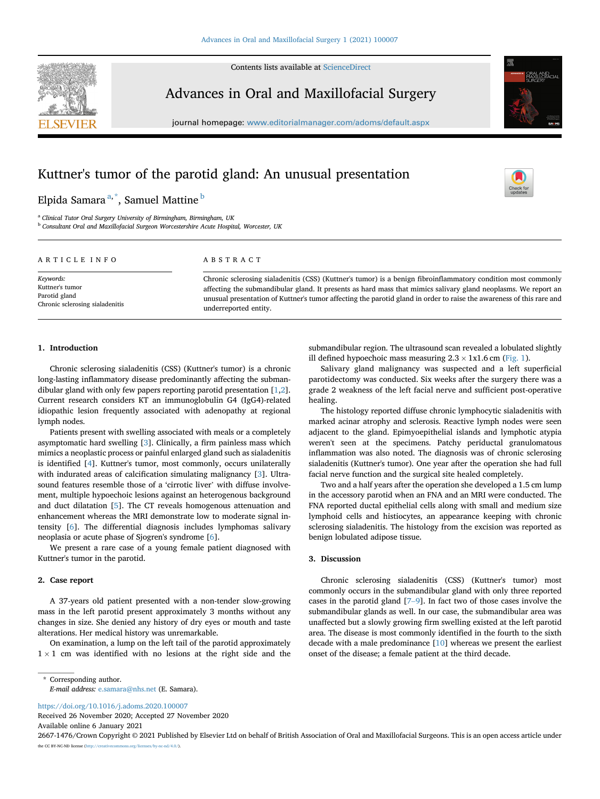

Contents lists available at [ScienceDirect](www.sciencedirect.com/science/journal/26671476)

## Advances in Oral and Maxillofacial Surgery

journal homepage: <www.editorialmanager.com/adoms/default.aspx>

# Kuttner's tumor of the parotid gland: An unusual presentation

### Elpida Samara<sup>[a,](#page-1-0)[\\*](#page-1-1)</sup>, Samuel Mattine <sup>[b](#page-1-2)</sup>

<span id="page-1-2"></span><span id="page-1-0"></span><sup>a</sup> Clinical Tutor Oral Surgery University of Birmingham, Birmingham, UK b Consultant Oral and Maxillofacial Surgeon Worcestershire Acute Hospital, Worcester, UK

#### ARTICLE INFO

Keywords: Kuttner's tumor Parotid gland Chronic sclerosing sialadenitis

#### ABSTRACT

Chronic sclerosing sialadenitis (CSS) (Kuttner's tumor) is a benign fibroinflammatory condition most commonly affecting the submandibular gland. It presents as hard mass that mimics salivary gland neoplasms. We report an unusual presentation of Kuttner's tumor affecting the parotid gland in order to raise the awareness of this rare and underreported entity.

#### 1. Introduction

Chronic sclerosing sialadenitis (CSS) (Kuttner's tumor) is a chronic long-lasting inflammatory disease predominantly affecting the submandibular gland with only few papers reporting parotid presentation [\[1,](#page-2-0)[2](#page-2-1)]. Current research considers KT an immunoglobulin G4 (IgG4)-related idiopathic lesion frequently associated with adenopathy at regional lymph nodes.

Patients present with swelling associated with meals or a completely asymptomatic hard swelling [[3](#page-2-2)]. Clinically, a firm painless mass which mimics a neoplastic process or painful enlarged gland such as sialadenitis is identified [[4](#page-2-3)]. Kuttner's tumor, most commonly, occurs unilaterally with indurated areas of calcification simulating malignancy [[3](#page-2-2)]. Ultrasound features resemble those of a 'cirrotic liver' with diffuse involvement, multiple hypoechoic lesions against an heterogenous background and duct dilatation [\[5\]](#page-2-4). The CT reveals homogenous attenuation and enhancement whereas the MRI demonstrate low to moderate signal intensity [\[6\]](#page-2-5). The differential diagnosis includes lymphomas salivary neoplasia or acute phase of Sjogren's syndrome [\[6\]](#page-2-5).

We present a rare case of a young female patient diagnosed with Kuttner's tumor in the parotid.

#### 2. Case report

A 37-years old patient presented with a non-tender slow-growing mass in the left parotid present approximately 3 months without any changes in size. She denied any history of dry eyes or mouth and taste alterations. Her medical history was unremarkable.

On examination, a lump on the left tail of the parotid approximately  $1 \times 1$  cm was identified with no lesions at the right side and the submandibular region. The ultrasound scan revealed a lobulated slightly ill defined hypoechoic mass measuring  $2.3 \times 1x1.6$  cm ([Fig. 1\)](#page-2-6).

Salivary gland malignancy was suspected and a left superficial parotidectomy was conducted. Six weeks after the surgery there was a grade 2 weakness of the left facial nerve and sufficient post-operative healing.

The histology reported diffuse chronic lymphocytic sialadenitis with marked acinar atrophy and sclerosis. Reactive lymph nodes were seen adjacent to the gland. Epimyoepithelial islands and lymphotic atypia weren't seen at the specimens. Patchy periductal granulomatous inflammation was also noted. The diagnosis was of chronic sclerosing sialadenitis (Kuttner's tumor). One year after the operation she had full facial nerve function and the surgical site healed completely.

Two and a half years after the operation she developed a 1.5 cm lump in the accessory parotid when an FNA and an MRI were conducted. The FNA reported ductal epithelial cells along with small and medium size lymphoid cells and histiocytes, an appearance keeping with chronic sclerosing sialadenitis. The histology from the excision was reported as benign lobulated adipose tissue.

#### 3. Discussion

Chronic sclerosing sialadenitis (CSS) (Kuttner's tumor) most commonly occurs in the submandibular gland with only three reported cases in the parotid gland [\[7](#page-2-7)–[9](#page-2-7)]. In fact two of those cases involve the submandibular glands as well. In our case, the submandibular area was unaffected but a slowly growing firm swelling existed at the left parotid area. The disease is most commonly identified in the fourth to the sixth decade with a male predominance [[10\]](#page-2-8) whereas we present the earliest onset of the disease; a female patient at the third decade.

<https://doi.org/10.1016/j.adoms.2020.100007> Received 26 November 2020; Accepted 27 November 2020

Available online 6 January 2021

2667-1476/Crown Copyright © 2021 Published by Elsevier Ltd on behalf of British Association of Oral and Maxillofacial Surgeons. This is an open access article under the CC BY-NC-ND license [\(http://creativecommons.org/licenses/by-nc-nd/4.0/\)](http://creativecommons.org/licenses/by-nc-nd/4.0/).



<span id="page-1-1"></span><sup>\*</sup> Corresponding author. E-mail address: [e.samara@nhs.net](mailto:e.samara@nhs.net) (E. Samara).